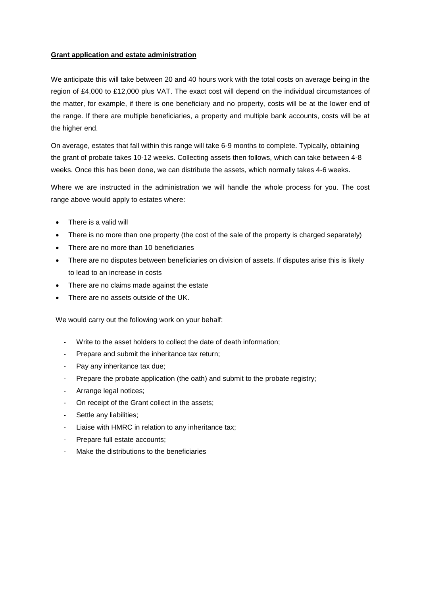## **Grant application and estate administration**

We anticipate this will take between 20 and 40 hours work with the total costs on average being in the region of £4,000 to £12,000 plus VAT. The exact cost will depend on the individual circumstances of the matter, for example, if there is one beneficiary and no property, costs will be at the lower end of the range. If there are multiple beneficiaries, a property and multiple bank accounts, costs will be at the higher end.

On average, estates that fall within this range will take 6-9 months to complete. Typically, obtaining the grant of probate takes 10-12 weeks. Collecting assets then follows, which can take between 4-8 weeks. Once this has been done, we can distribute the assets, which normally takes 4-6 weeks.

Where we are instructed in the administration we will handle the whole process for you. The cost range above would apply to estates where:

- There is a valid will
- There is no more than one property (the cost of the sale of the property is charged separately)
- There are no more than 10 beneficiaries
- There are no disputes between beneficiaries on division of assets. If disputes arise this is likely to lead to an increase in costs
- There are no claims made against the estate
- There are no assets outside of the UK.

We would carry out the following work on your behalf:

- Write to the asset holders to collect the date of death information;
- Prepare and submit the inheritance tax return;
- Pay any inheritance tax due;
- Prepare the probate application (the oath) and submit to the probate registry;
- Arrange legal notices;
- On receipt of the Grant collect in the assets;
- Settle any liabilities;
- Liaise with HMRC in relation to any inheritance tax;
- Prepare full estate accounts;
- Make the distributions to the beneficiaries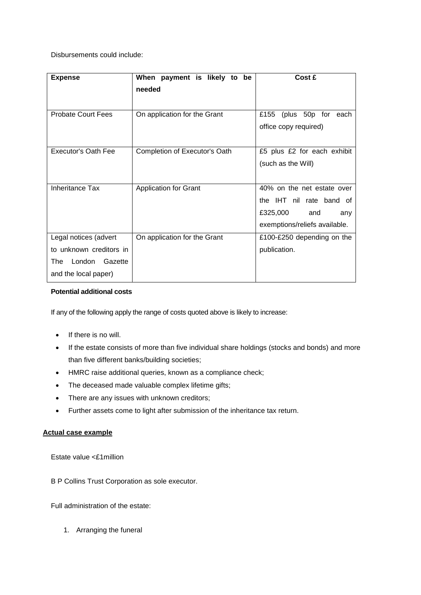Disbursements could include:

| <b>Expense</b>                                                                                           | When payment is likely to be<br>needed | Cost £                                                                                                            |
|----------------------------------------------------------------------------------------------------------|----------------------------------------|-------------------------------------------------------------------------------------------------------------------|
| <b>Probate Court Fees</b>                                                                                | On application for the Grant           | (plus 50p for each<br>£155<br>office copy required)                                                               |
| <b>Executor's Oath Fee</b>                                                                               | Completion of Executor's Oath          | £5 plus £2 for each exhibit<br>(such as the Will)                                                                 |
| <b>Inheritance Tax</b>                                                                                   | <b>Application for Grant</b>           | 40% on the net estate over<br>the IHT nil rate band of<br>£325,000<br>and<br>any<br>exemptions/reliefs available. |
| Legal notices (advert<br>to unknown creditors in<br>London Gazette<br><b>The</b><br>and the local paper) | On application for the Grant           | £100-£250 depending on the<br>publication.                                                                        |

## **Potential additional costs**

If any of the following apply the range of costs quoted above is likely to increase:

- If there is no will.
- If the estate consists of more than five individual share holdings (stocks and bonds) and more than five different banks/building societies;
- HMRC raise additional queries, known as a compliance check;
- The deceased made valuable complex lifetime gifts;
- There are any issues with unknown creditors;
- Further assets come to light after submission of the inheritance tax return.

## **Actual case example**

Estate value <£1million

B P Collins Trust Corporation as sole executor.

Full administration of the estate:

1. Arranging the funeral